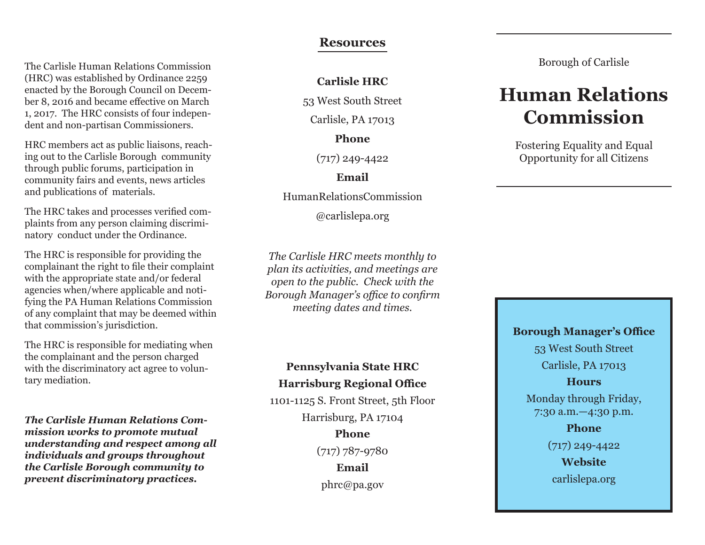The Carlisle Human Relations Commission (HRC) was established by Ordinance 2259 enacted by the Borough Council on December 8, 2016 and became effective on March 1, 2017. The HRC consists of four independent and non-partisan Commissioners.

HRC members act as public liaisons, reaching out to the Carlisle Borough community through public forums, participation in community fairs and events, news articles and publications of materials.

The HRC takes and processes verified complaints from any person claiming discriminatory conduct under the Ordinance.

The HRC is responsible for providing the complainant the right to file their complaint with the appropriate state and/or federal agencies when/where applicable and notifying the PA Human Relations Commission of any complaint that may be deemed within that commission's jurisdiction.

The HRC is responsible for mediating when the complainant and the person charged with the discriminatory act agree to voluntary mediation.

*The Carlisle Human Relations Commission works to promote mutual understanding and respect among all individuals and groups throughout the Carlisle Borough community to prevent discriminatory practices.*

#### **Resources**

**Carlisle HRC**

53 West South Street

Carlisle, PA 17013

**Phone**

(717) 249-4422

**Email**

HumanRelationsCommission

@carlislepa.org

*The Carlisle HRC meets monthly to plan its activities, and meetings are open to the public. Check with the Borough Manager's office to confirm meeting dates and times.*

### **Pennsylvania State HRC Harrisburg Regional Office**

1101-1125 S. Front Street, 5th Floor Harrisburg, PA 17104

**Phone** (717) 787-9780 **Email** phrc@pa.gov

Borough of Carlisle

# **Human Relations Commission**

Fostering Equality and Equal Opportunity for all Citizens

**Borough Manager's Office**

53 West South Street Carlisle, PA 17013

#### **Hours**

Monday through Friday, 7:30 a.m.—4:30 p.m.

> **Phone** (717) 249-4422 **Website** carlislepa.org